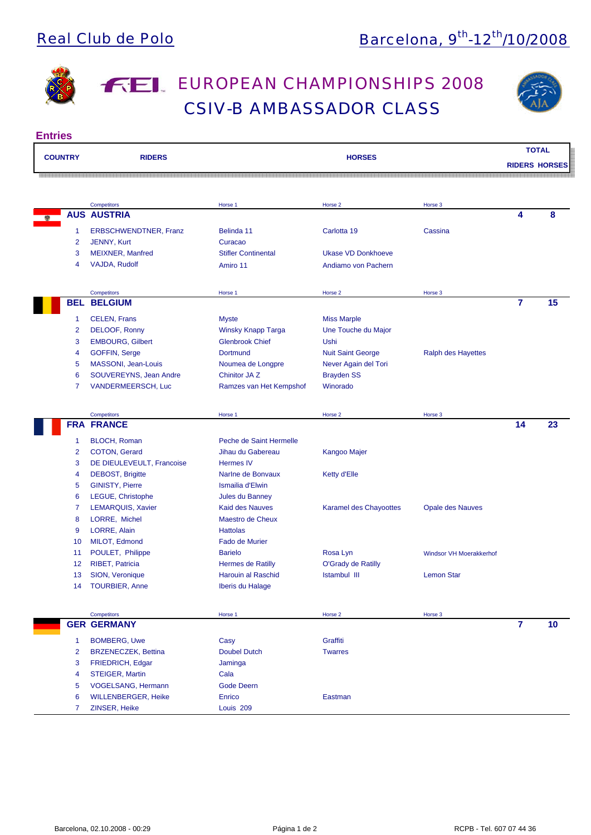

# **FEL EUROPEAN CHAMPIONSHIPS 2008** CSIV-B AMBASSADOR CLASS



| <b>COUNTRY</b>  | <b>RIDERS</b>                |                            | <b>HORSES</b>             |                                | <b>RIDERS HORSES</b> | <b>TOTAL</b> |
|-----------------|------------------------------|----------------------------|---------------------------|--------------------------------|----------------------|--------------|
|                 |                              |                            |                           |                                |                      |              |
|                 | <b>Competitors</b>           | Horse 1                    | Horse 2                   | Horse 3                        |                      |              |
|                 | <b>AUS AUSTRIA</b>           |                            |                           |                                | 4                    | 8            |
| 1               | <b>ERBSCHWENDTNER, Franz</b> | Belinda 11                 | Carlotta 19               | Cassina                        |                      |              |
| 2               | JENNY, Kurt                  | Curacao                    |                           |                                |                      |              |
| 3               | MEIXNER, Manfred             | <b>Stifler Continental</b> | <b>Ukase VD Donkhoeve</b> |                                |                      |              |
| 4               | VAJDA, Rudolf                | Amiro 11                   | Andiamo von Pachern       |                                |                      |              |
|                 | Competitors                  | Horse 1                    | Horse 2                   | Horse 3                        |                      |              |
|                 | <b>BEL BELGIUM</b>           |                            |                           |                                | $\overline{7}$       | 15           |
| 1               | <b>CELEN, Frans</b>          | Myste                      | <b>Miss Marple</b>        |                                |                      |              |
| 2               | DELOOF, Ronny                | <b>Winsky Knapp Targa</b>  | Une Touche du Major       |                                |                      |              |
| 3               | <b>EMBOURG, Gilbert</b>      | <b>Glenbrook Chief</b>     | Ushi                      |                                |                      |              |
| 4               | <b>GOFFIN, Serge</b>         | <b>Dortmund</b>            | <b>Nuit Saint George</b>  | <b>Ralph des Hayettes</b>      |                      |              |
| 5               | MASSONI, Jean-Louis          | Noumea de Longpre          | Never Again del Tori      |                                |                      |              |
| 6               | SOUVEREYNS, Jean Andre       | Chinitor JA <sub>Z</sub>   | <b>Brayden SS</b>         |                                |                      |              |
| 7               | VANDERMEERSCH, Luc           | Ramzes van Het Kempshof    | Winorado                  |                                |                      |              |
|                 | Competitors                  | Horse 1                    | Horse 2                   | Horse 3                        |                      |              |
|                 | <b>FRA FRANCE</b>            |                            |                           |                                | 14                   | 23           |
| 1               | <b>BLOCH, Roman</b>          | Peche de Saint Hermelle    |                           |                                |                      |              |
| 2               | <b>COTON, Gerard</b>         | Jihau du Gabereau          | <b>Kangoo Majer</b>       |                                |                      |              |
| 3               | DE DIEULEVEULT, Francoise    | <b>Hermes IV</b>           |                           |                                |                      |              |
| 4               | <b>DEBOST, Brigitte</b>      | Narlne de Bonvaux          | Ketty d'Elle              |                                |                      |              |
| 5               | <b>GINISTY, Pierre</b>       | Ismailia d'Elwin           |                           |                                |                      |              |
| 6               | LEGUE, Christophe            | Jules du Banney            |                           |                                |                      |              |
| 7               | <b>LEMARQUIS, Xavier</b>     | <b>Kaid des Nauves</b>     | Karamel des Chayoottes    | <b>Opale des Nauves</b>        |                      |              |
| 8               | LORRE, Michel                | <b>Maestro de Cheux</b>    |                           |                                |                      |              |
| 9               | LORRE, Alain                 | <b>Hattolas</b>            |                           |                                |                      |              |
| 10              | MILOT, Edmond                | <b>Fado de Murier</b>      |                           |                                |                      |              |
| 11              | POULET, Philippe             | <b>Barielo</b>             | Rosa Lyn                  | <b>Windsor VH Moerakkerhof</b> |                      |              |
| 12 <sub>2</sub> | <b>RIBET, Patricia</b>       | <b>Hermes de Ratilly</b>   | O'Grady de Ratilly        |                                |                      |              |
| 13 <sup>°</sup> | SION, Veronique              | Harouin al Raschid         | Istambul III              | <b>Lemon Star</b>              |                      |              |
|                 | 14 TOURBIER, Anne            | Iberis du Halage           |                           |                                |                      |              |
|                 | Competitors                  | Horse 1                    | Horse 2                   | Horse 3                        |                      |              |
|                 | <b>GER GERMANY</b>           |                            |                           |                                | $\overline{7}$       | 10           |
| 1               | <b>BOMBERG, Uwe</b>          | Casy                       | Graffiti                  |                                |                      |              |
| $\overline{2}$  | <b>BRZENECZEK, Bettina</b>   |                            |                           |                                |                      |              |
|                 |                              | <b>Doubel Dutch</b>        | <b>Twarres</b>            |                                |                      |              |
| 3               | FRIEDRICH, Edgar             | Jaminga                    |                           |                                |                      |              |
| 4               | <b>STEIGER, Martin</b>       | Cala                       |                           |                                |                      |              |
| 5               | VOGELSANG, Hermann           | <b>Gode Deern</b>          |                           |                                |                      |              |
| 6               | <b>WILLENBERGER, Heike</b>   | Enrico                     | Eastman                   |                                |                      |              |